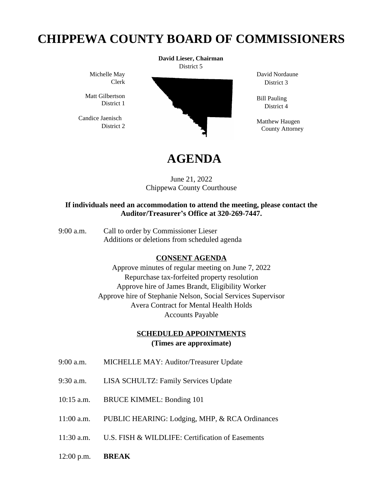## **CHIPPEWA COUNTY BOARD OF COMMISSIONERS**

Michelle May Clerk

Matt Gilbertson District 1

 Candice Jaenisch District 2



David Nordaune District 3

Bill Pauling District 4

Matthew Haugen County Attorney

# **AGENDA**

June 21, 2022 Chippewa County Courthouse

#### **If individuals need an accommodation to attend the meeting, please contact the Auditor/Treasurer's Office at 320-269-7447.**

9:00 a.m. Call to order by Commissioner Lieser Additions or deletions from scheduled agenda

### **CONSENT AGENDA**

Approve minutes of regular meeting on June 7, 2022 Repurchase tax-forfeited property resolution Approve hire of James Brandt, Eligibility Worker Approve hire of Stephanie Nelson, Social Services Supervisor Avera Contract for Mental Health Holds Accounts Payable

### **SCHEDULED APPOINTMENTS (Times are approximate)**

- 9:00 a.m. MICHELLE MAY: Auditor/Treasurer Update
- 9:30 a.m. LISA SCHULTZ: Family Services Update
- 10:15 a.m. BRUCE KIMMEL: Bonding 101
- 11:00 a.m. PUBLIC HEARING: Lodging, MHP, & RCA Ordinances
- 11:30 a.m. U.S. FISH & WILDLIFE: Certification of Easements
- 12:00 p.m. **BREAK**